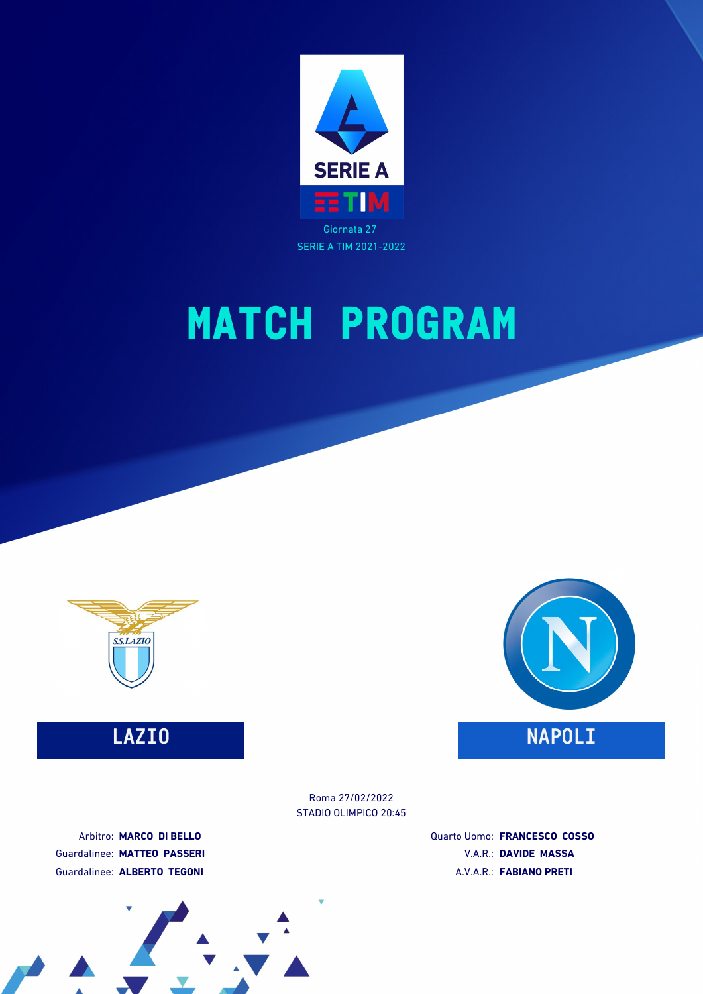





### **LAZIO NAPOLI**

STADIO OLIMPICO 20:45 Roma 27/02/2022

Arbitro: **MARCO DI BELLO** Guardalinee: **MATTEO PASSERI** Guardalinee: **ALBERTO TEGONI**

Quarto Uomo: **FRANCESCO COSSO** V.A.R.: **DAVIDE MASSA** A.V.A.R.: **FABIANO PRETI**

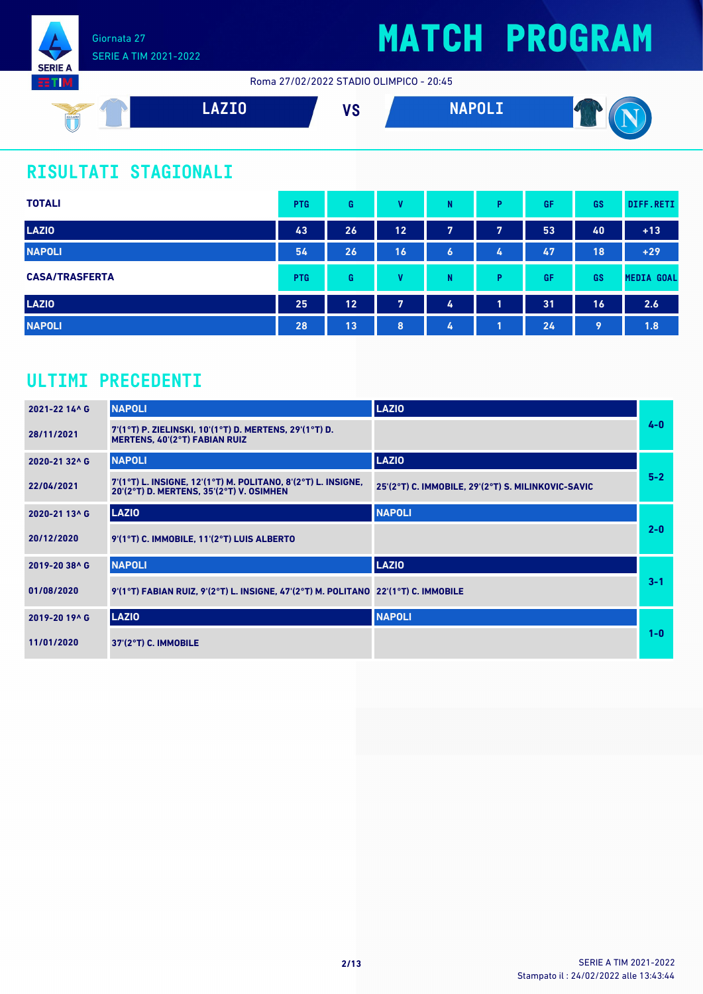

Roma 27/02/2022 STADIO OLIMPICO - 20:45



### **RISULTATI STAGIONALI**

| <b>TOTALI</b>         | <b>PTG</b> | G  | v  | N | P. | GF | <b>GS</b> | DIFF.RETI         |
|-----------------------|------------|----|----|---|----|----|-----------|-------------------|
| <b>LAZIO</b>          | 43         | 26 | 12 | 7 | 7  | 53 | 40        | $+13$             |
| <b>NAPOLI</b>         | 54         | 26 | 16 | 6 | 4  | 47 | 18        | $+29$             |
| <b>CASA/TRASFERTA</b> | <b>PTG</b> | G  | v  | N | P  | GF | <b>GS</b> | <b>MEDIA GOAL</b> |
| <b>LAZIO</b>          | 25         | 12 | 7  | 4 | 1  | 31 | 16        | 2.6               |
| <b>NAPOLI</b>         | 28         | 13 | 8  | 4 | п  | 24 | 9         | 1.8               |

### **ULTIMI PRECEDENTI**

| 2021-22 14^ G | <b>NAPOLI</b>                                                                                             | <b>LAZIO</b>                                       |         |
|---------------|-----------------------------------------------------------------------------------------------------------|----------------------------------------------------|---------|
| 28/11/2021    | 7'(1°T) P. ZIELINSKI, 10'(1°T) D. MERTENS, 29'(1°T) D.<br><b>MERTENS, 40'(2°T) FABIAN RUIZ</b>            |                                                    | $4 - 0$ |
| 2020-21 32^6  | <b>NAPOLI</b>                                                                                             | <b>LAZIO</b>                                       |         |
| 22/04/2021    | 7'(1°T) L. INSIGNE, 12'(1°T) M. POLITANO, 8'(2°T) L. INSIGNE,<br>20'(2°T) D. MERTENS, 35'(2°T) V. OSIMHEN | 25'(2°T) C. IMMOBILE, 29'(2°T) S. MILINKOVIC-SAVIC | $5-2$   |
| 2020-21 13^6  | <b>LAZIO</b>                                                                                              | <b>NAPOLI</b>                                      |         |
| 20/12/2020    | 9'(1°T) C. IMMOBILE, 11'(2°T) LUIS ALBERTO                                                                |                                                    | $2 - 0$ |
| 2019-20 38^ G | <b>NAPOLI</b>                                                                                             | <b>LAZIO</b>                                       |         |
| 01/08/2020    | 9'(1°T) FABIAN RUIZ, 9'(2°T) L. INSIGNE, 47'(2°T) M. POLITANO 22'(1°T) C. IMMOBILE                        |                                                    | $3 - 1$ |
| 2019-20 19^ G | <b>LAZIO</b>                                                                                              | <b>NAPOLI</b>                                      |         |
| 11/01/2020    | 37'(2°T) C. IMMOBILE                                                                                      |                                                    | $1-0$   |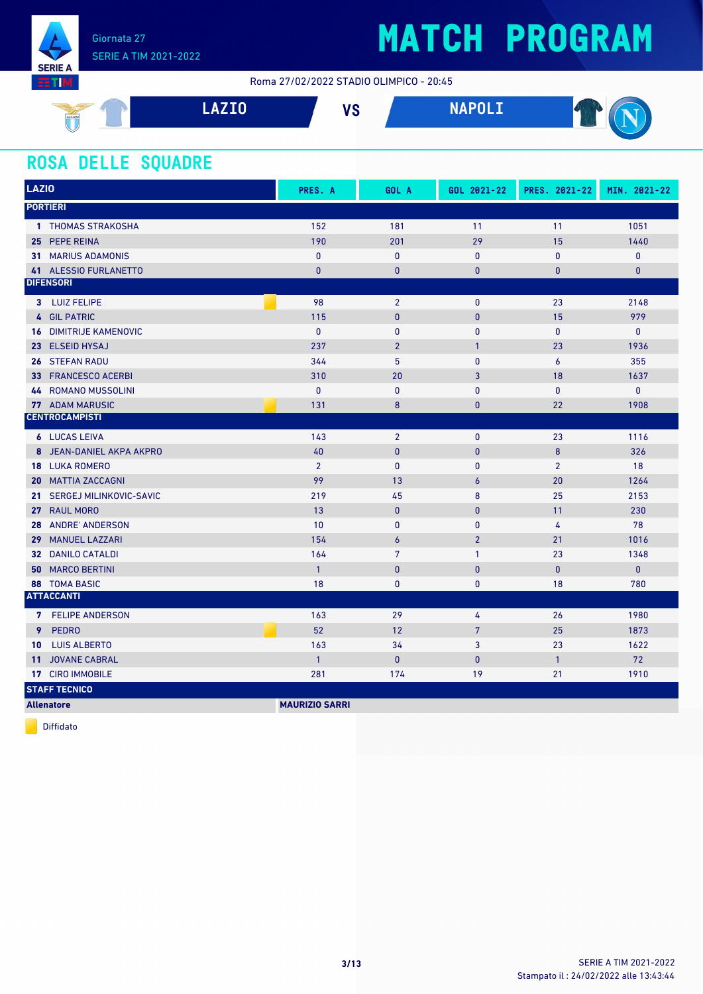

Roma 27/02/2022 STADIO OLIMPICO - 20:45



#### **ROSA DELLE SQUADRE**

| <b>LAZIO</b>                           | PRES. A               | GOL A            | GOL 2021-22    | PRES. 2021-22  | MIN. 2021-22 |
|----------------------------------------|-----------------------|------------------|----------------|----------------|--------------|
| <b>PORTIERI</b>                        |                       |                  |                |                |              |
| 1 THOMAS STRAKOSHA                     | 152                   | 181              | 11             | 11             | 1051         |
| 25 PEPE REINA                          | 190                   | 201              | 29             | 15             | 1440         |
| <b>31 MARIUS ADAMONIS</b>              | $\mathbf{0}$          | $\mathbf 0$      | $\mathbf{0}$   | $\mathbf{0}$   | $\pmb{0}$    |
| 41 ALESSIO FURLANETTO                  | $\mathbf{0}$          | $\mathbf{0}$     | 0              | $\overline{0}$ | $\mathbf{0}$ |
| <b>DIFENSORI</b>                       |                       |                  |                |                |              |
| 3 LUIZ FELIPE                          | 98                    | $\overline{2}$   | $\mathbf 0$    | 23             | 2148         |
| 4 GIL PATRIC                           | 115                   | $\mathbf{0}$     | $\mathbf{0}$   | 15             | 979          |
| <b>16 DIMITRIJE KAMENOVIC</b>          | $\mathbf{0}$          | $\mathbf{0}$     | $\mathbf{0}$   | $\mathbf{0}$   | $\mathbf{0}$ |
| <b>ELSEID HYSAJ</b><br>23 <sup>°</sup> | 237                   | $\overline{2}$   | $\mathbf{1}$   | 23             | 1936         |
| 26 STEFAN RADU                         | 344                   | 5                | $\mathbf{0}$   | 6              | 355          |
| 33 FRANCESCO ACERBI                    | 310                   | 20               | 3              | 18             | 1637         |
| <b>44 ROMANO MUSSOLINI</b>             | $\mathbf{0}$          | $\mathbf{0}$     | $\mathbf{0}$   | 0              | $\pmb{0}$    |
| <b>77 ADAM MARUSIC</b>                 | 131                   | 8                | $\mathbf{0}$   | 22             | 1908         |
| <b>CENTROCAMPISTI</b>                  |                       |                  |                |                |              |
| <b>6</b> LUCAS LEIVA                   | 143                   | $\overline{2}$   | $\mathbf{0}$   | 23             | 1116         |
| 8 JEAN-DANIEL AKPA AKPRO               | 40                    | $\mathbf{0}$     | $\mathbf{0}$   | 8              | 326          |
| <b>18 LUKA ROMERO</b>                  | $\overline{2}$        | $\mathbf{0}$     | $\mathbf{0}$   | $\overline{2}$ | 18           |
| <b>20 MATTIA ZACCAGNI</b>              | 99                    | 13               | 6              | 20             | 1264         |
| SERGEJ MILINKOVIC-SAVIC<br>21.         | 219                   | 45               | 8              | 25             | 2153         |
| 27 <sub>2</sub><br><b>RAUL MORO</b>    | 13                    | $\mathbf{0}$     | $\mathbf{0}$   | 11             | 230          |
| <b>ANDRE' ANDERSON</b><br>28           | 10                    | $\mathbf{0}$     | $\mathbf{0}$   | 4              | 78           |
| 29 MANUEL LAZZARI                      | 154                   | $\boldsymbol{6}$ | $\overline{2}$ | 21             | 1016         |
| <b>32 DANILO CATALDI</b>               | 164                   | $\overline{7}$   | $\mathbf{1}$   | 23             | 1348         |
| <b>MARCO BERTINI</b><br>50             | $\overline{1}$        | $\pmb{0}$        | $\mathbf{0}$   | $\mathbf{0}$   | $\mathbf{0}$ |
| <b>88 TOMA BASIC</b>                   | 18                    | $\mathbf{0}$     | $\mathbf{0}$   | 18             | 780          |
| <b>ATTACCANTI</b>                      |                       |                  |                |                |              |
| 7 FELIPE ANDERSON                      | 163                   | 29               | 4              | 26             | 1980         |
| 9<br>PEDRO                             | 52                    | 12               | $\overline{7}$ | 25             | 1873         |
| <b>LUIS ALBERTO</b><br>10              | 163                   | 34               | 3              | 23             | 1622         |
| <b>JOVANE CABRAL</b><br>11             | $\mathbf{1}$          | $\mathbf 0$      | $\mathbf{0}$   | $\mathbf{1}$   | 72           |
| 17 CIRO IMMOBILE                       | 281                   | 174              | 19             | 21             | 1910         |
| <b>STAFF TECNICO</b>                   |                       |                  |                |                |              |
| <b>Allenatore</b>                      | <b>MAURIZIO SARRI</b> |                  |                |                |              |

Diffidato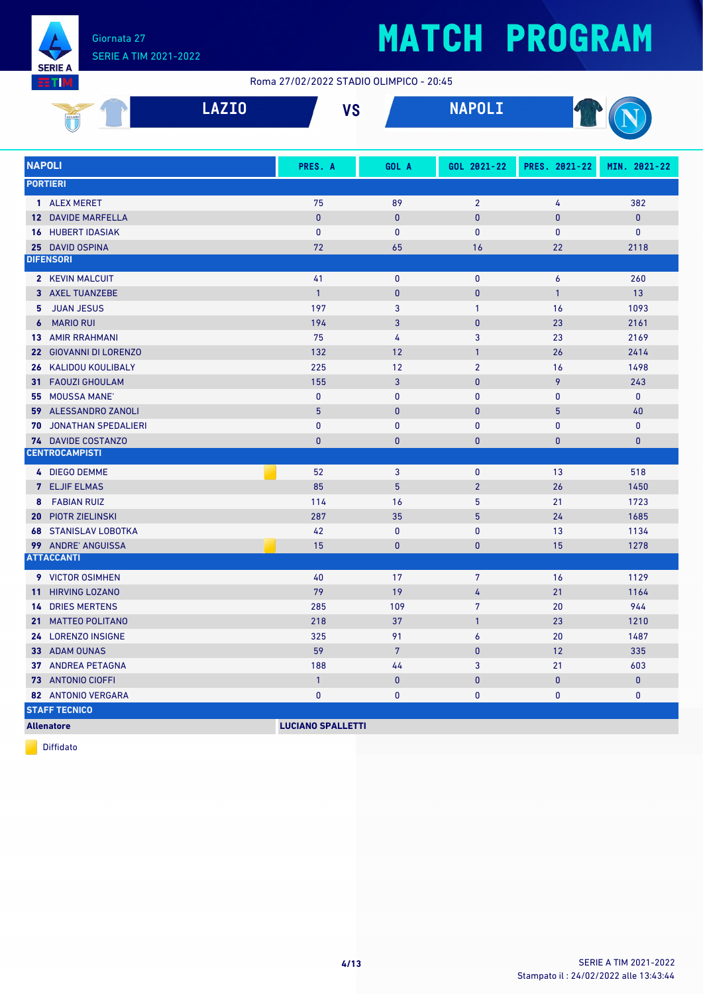

#### Roma 27/02/2022 STADIO OLIMPICO - 20:45

| 33 I M<br>ROMA 2770272022 STADIO OLIMPICO - 20:45 |                               |              |                |                |                |                  |              |  |  |
|---------------------------------------------------|-------------------------------|--------------|----------------|----------------|----------------|------------------|--------------|--|--|
|                                                   |                               | <b>LAZIO</b> | <b>VS</b>      |                | <b>NAPOLI</b>  |                  |              |  |  |
|                                                   | <b>NAPOLI</b>                 |              | PRES. A        | GOL A          | GOL 2021-22    | PRES. 2021-22    | MIN. 2021-22 |  |  |
|                                                   | <b>PORTIERI</b>               |              |                |                |                |                  |              |  |  |
|                                                   | 1 ALEX MERET                  |              | 75             | 89             | $\overline{2}$ | 4                | 382          |  |  |
|                                                   | <b>12 DAVIDE MARFELLA</b>     |              | $\mathbf{0}$   | $\mathbf{0}$   | 0              | $\mathbf{0}$     | $\mathbf{0}$ |  |  |
|                                                   | <b>16 HUBERT IDASIAK</b>      |              | $\mathbf{0}$   | $\mathbf{0}$   | $\mathbf{0}$   | $\mathbf{0}$     | $\mathbf{0}$ |  |  |
|                                                   | 25 DAVID OSPINA               |              | 72             | 65             | 16             | 22               | 2118         |  |  |
|                                                   | <b>DIFENSORI</b>              |              |                |                |                |                  |              |  |  |
|                                                   | 2 KEVIN MALCUIT               |              | 41             | $\mathbf 0$    | $\mathbf 0$    | $\boldsymbol{6}$ | 260          |  |  |
|                                                   | 3 AXEL TUANZEBE               |              | $\overline{1}$ | $\mathbf{0}$   | $\pmb{0}$      | $\mathbf{1}$     | 13           |  |  |
|                                                   | 5 JUAN JESUS                  |              | 197            | 3              | $\mathbf{1}$   | 16               | 1093         |  |  |
|                                                   | <b>6</b> MARIO RUI            |              | 194            | 3              | 0              | 23               | 2161         |  |  |
|                                                   | <b>13 AMIR RRAHMANI</b>       |              | 75             | 4              | 3              | 23               | 2169         |  |  |
|                                                   | 22 GIOVANNI DI LORENZO        |              | 132            | 12             | $\mathbf{1}$   | 26               | 2414         |  |  |
|                                                   | 26 KALIDOU KOULIBALY          |              | 225            | 12             | $\overline{2}$ | 16               | 1498         |  |  |
|                                                   | 31 FAOUZI GHOULAM             |              | 155            | 3              | 0              | 9                | 243          |  |  |
|                                                   | 55 MOUSSA MANE'               |              | $\mathbf{0}$   | $\mathbf{0}$   | 0              | $\bf{0}$         | $\mathbf 0$  |  |  |
|                                                   | 59 ALESSANDRO ZANOLI          |              | 5              | $\mathbf{0}$   | 0              | $5\phantom{.}$   | 40           |  |  |
|                                                   | <b>70 JONATHAN SPEDALIERI</b> |              | $\mathbf{0}$   | $\mathbf 0$    | 0              | $\bf{0}$         | $\mathbf 0$  |  |  |
|                                                   | 74 DAVIDE COSTANZO            |              | $\mathbf{0}$   | $\bf{0}$       | $\mathbf 0$    | $\mathbf{0}$     | $\pmb{0}$    |  |  |
|                                                   | <b>CENTROCAMPISTI</b>         |              |                |                |                |                  |              |  |  |
|                                                   | 4 DIEGO DEMME                 |              | 52             | 3              | 0              | 13               | 518          |  |  |
|                                                   | <b>7</b> ELJIF ELMAS          |              | 85             | 5 <sup>5</sup> | $\overline{2}$ | 26               | 1450         |  |  |
|                                                   | 8 FABIAN RUIZ                 |              | 114            | 16             | 5              | 21               | 1723         |  |  |
|                                                   | <b>20 PIOTR ZIELINSKI</b>     |              | 287            | 35             | 5              | 24               | 1685         |  |  |
|                                                   | <b>68 STANISLAV LOBOTKA</b>   |              | 42             | $\mathbf 0$    | 0              | 13               | 1134         |  |  |
|                                                   | 99 ANDRE' ANGUISSA            |              | 15             | $\mathbf{0}$   | 0              | 15               | 1278         |  |  |
|                                                   | <b>ATTACCANTI</b>             |              |                |                |                |                  |              |  |  |
|                                                   | 9 VICTOR OSIMHEN              |              | 40             | 17             | 7              | 16               | 1129         |  |  |
|                                                   | 11 HIRVING LOZANO             |              | 79             | 19             | 4              | 21               | 1164         |  |  |
|                                                   | <b>14 DRIES MERTENS</b>       |              | 285            | 109            | $\overline{7}$ | 20               | 944          |  |  |
|                                                   | 21 MATTEO POLITANO            |              | 218            | 37             | $\mathbf{1}$   | 23               | 1210         |  |  |
|                                                   | 24 LORENZO INSIGNE            |              | 325            | 91             | 6              | 20               | 1487         |  |  |
|                                                   | 33 ADAM OUNAS                 |              | 59             | $7\phantom{.}$ | 0              | 12               | 335          |  |  |
|                                                   | <b>37 ANDREA PETAGNA</b>      |              | 188            | 44             | 3              | 21               | 603          |  |  |
|                                                   | <b>73</b> ANTONIO CIOFFI      |              | $\mathbf{1}$   | $\mathbf{0}$   | 0              | $\pmb{0}$        | $\mathbf 0$  |  |  |
|                                                   | 82 ANTONIO VERGARA            |              | 0              | 0              | 0              | 0                | 0            |  |  |
|                                                   | <b>STAFF TECNICO</b>          |              |                |                |                |                  |              |  |  |

**Allenatore LUCIANO SPALLETTI**

Diffidato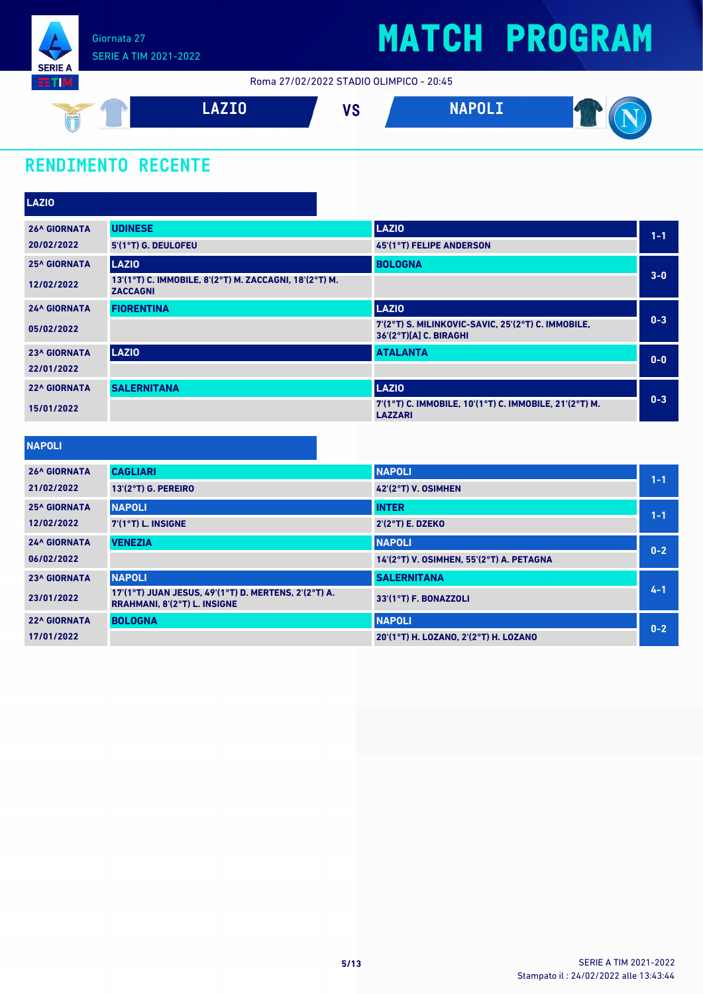

Roma 27/02/2022 STADIO OLIMPICO - 20:45



### **RENDIMENTO RECENTE**

| <b>UDINESE</b>      | <b>LAZIO</b>                                                                 | $1 - 1$                                                |
|---------------------|------------------------------------------------------------------------------|--------------------------------------------------------|
| 5'(1°T) G. DEULOFEU | <b>45'(1°T) FELIPE ANDERSON</b>                                              |                                                        |
| <b>LAZIO</b>        | <b>BOLOGNA</b>                                                               |                                                        |
| <b>ZACCAGNI</b>     |                                                                              | $3 - 0$                                                |
| <b>FIORENTINA</b>   | <b>LAZIO</b>                                                                 |                                                        |
|                     | 7'(2°T) S. MILINKOVIC-SAVIC, 25'(2°T) C. IMMOBILE,<br>36'(2°T)[A] C. BIRAGHI | $0 - 3$                                                |
| <b>LAZIO</b>        | <b>ATALANTA</b>                                                              | $0 - 0$                                                |
|                     |                                                                              |                                                        |
| <b>SALERNITANA</b>  | <b>LAZIO</b>                                                                 |                                                        |
|                     | 7'(1°T) C. IMMOBILE, 10'(1°T) C. IMMOBILE, 21'(2°T) M.<br><b>LAZZARI</b>     | $0 - 3$                                                |
|                     |                                                                              | 13'(1°T) C. IMMOBILE, 8'(2°T) M. ZACCAGNI, 18'(2°T) M. |

#### **NAPOLI**

| <b>26^ GIORNATA</b> | <b>CAGLIARI</b>                                                                             | <b>NAPOLI</b>                            | $1 - 1$ |
|---------------------|---------------------------------------------------------------------------------------------|------------------------------------------|---------|
| 21/02/2022          | 13'(2°T) G. PEREIRO                                                                         | 42'(2°T) V. OSIMHEN                      |         |
| <b>25^ GIORNATA</b> | <b>NAPOLI</b>                                                                               | <b>INTER</b>                             | $1 - 1$ |
| 12/02/2022          | $7(1°T)$ L. INSIGNE                                                                         | $2'(2°T)$ E. DZEKO                       |         |
| <b>24^ GIORNATA</b> | <b>VENEZIA</b>                                                                              | <b>NAPOLI</b>                            | $0 - 2$ |
| 06/02/2022          |                                                                                             | 14'(2°T) V. OSIMHEN, 55'(2°T) A. PETAGNA |         |
| <b>23^ GIORNATA</b> | <b>NAPOLI</b>                                                                               | <b>SALERNITANA</b>                       |         |
| 23/01/2022          | 17'(1°T) JUAN JESUS, 49'(1°T) D. MERTENS, 2'(2°T) A.<br><b>RRAHMANI, 8'(2°T) L. INSIGNE</b> | 33'(1°T) F. BONAZZOLI                    | $4 - 1$ |
| <b>22^ GIORNATA</b> | <b>BOLOGNA</b>                                                                              | <b>NAPOLI</b>                            | $0 - 2$ |
| 17/01/2022          |                                                                                             | 20'(1°T) H. LOZANO, 2'(2°T) H. LOZANO    |         |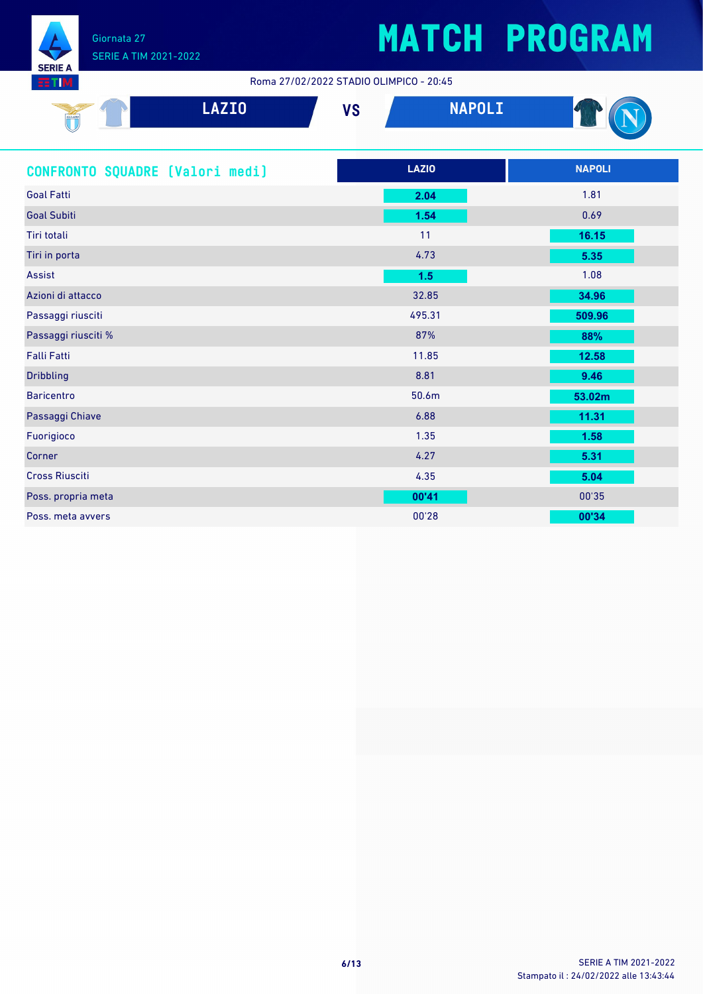

87 I

# **MATCH PROGRAM**

Roma 27/02/2022 STADIO OLIMPICO - 20:45

| SSLAZIO<br>U | <b>LAZIO</b> | 17 N<br>∼ | <b>NADOLT</b><br>. |  |
|--------------|--------------|-----------|--------------------|--|
|              |              |           |                    |  |

| CONFRONTO SQUADRE [Valori medi] | <b>LAZIO</b> | <b>NAPOLI</b> |
|---------------------------------|--------------|---------------|
| <b>Goal Fatti</b>               | 2.04         | 1.81          |
| <b>Goal Subiti</b>              | 1.54         | 0.69          |
| <b>Tiri totali</b>              | 11           | 16.15         |
| Tiri in porta                   | 4.73         | 5.35          |
| Assist                          | 1.5          | 1.08          |
| Azioni di attacco               | 32.85        | 34.96         |
| Passaggi riusciti               | 495.31       | 509.96        |
| Passaggi riusciti %             | 87%          | 88%           |
| <b>Falli Fatti</b>              | 11.85        | 12.58         |
| <b>Dribbling</b>                | 8.81         | 9.46          |
| <b>Baricentro</b>               | 50.6m        | 53.02m        |
| Passaggi Chiave                 | 6.88         | 11.31         |
| Fuorigioco                      | 1.35         | 1.58          |
| Corner                          | 4.27         | 5.31          |
| <b>Cross Riusciti</b>           | 4.35         | 5.04          |
| Poss. propria meta              | 00'41        | 00'35         |
| Poss. meta avvers               | 00'28        | 00'34         |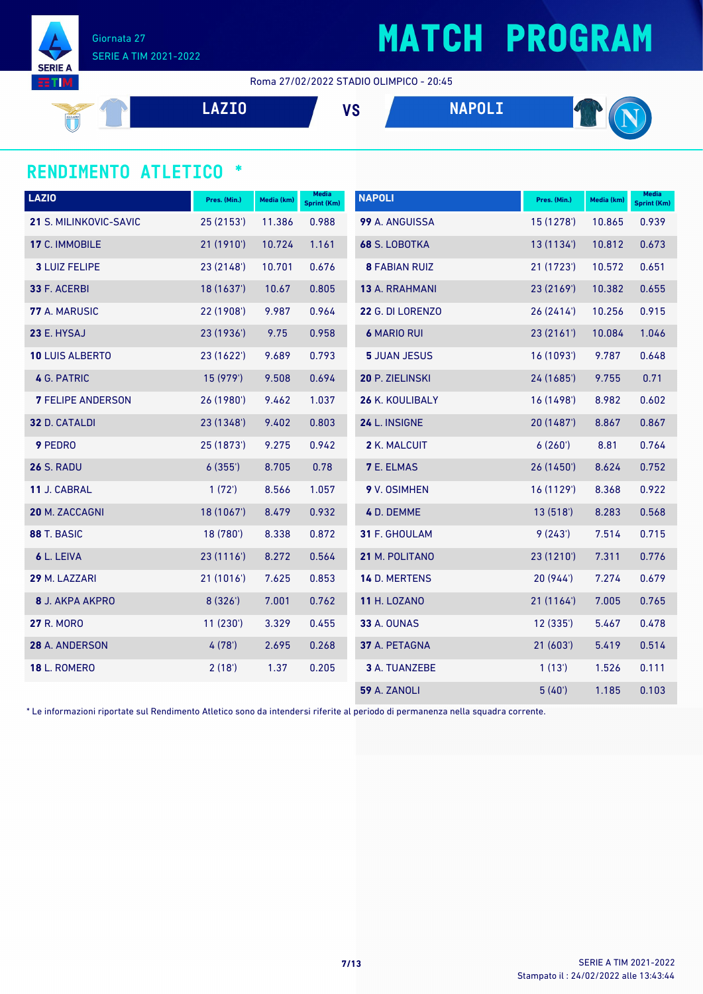

Giornata 27 SERIE A TIM 2021-2022

Roma 27/02/2022 STADIO OLIMPICO - 20:45

$$
\begin{array}{c|c}\n\hline\n\text{A} & \text{LAZIO} \\
\hline\n\end{array}
$$

#### **RENDIMENTO ATLETICO \***

| <b>LAZIO</b>             | Pres. (Min.) | Media (km) | <b>Media</b><br>Sprint (Km) | <b>NAPOLI</b>        | Pres. (Min.) | Media (km) | <b>Media</b><br><b>Sprint (Km)</b> |
|--------------------------|--------------|------------|-----------------------------|----------------------|--------------|------------|------------------------------------|
| 21 S. MILINKOVIC-SAVIC   | 25(2153)     | 11.386     | 0.988                       | 99 A. ANGUISSA       | 15(1278)     | 10.865     | 0.939                              |
| 17 C. IMMOBILE           | 21 (1910')   | 10.724     | 1.161                       | 68 S. LOBOTKA        | 13(1134)     | 10.812     | 0.673                              |
| <b>3 LUIZ FELIPE</b>     | 23 (2148')   | 10.701     | 0.676                       | <b>8 FABIAN RUIZ</b> | 21(1723)     | 10.572     | 0.651                              |
| 33 F. ACERBI             | 18(1637)     | 10.67      | 0.805                       | 13 A. RRAHMANI       | 23(2169)     | 10.382     | 0.655                              |
| 77 A. MARUSIC            | 22 (1908')   | 9.987      | 0.964                       | 22 G. DI LORENZO     | 26 (2414')   | 10.256     | 0.915                              |
| 23 E. HYSAJ              | 23 (1936')   | 9.75       | 0.958                       | <b>6 MARIO RUI</b>   | 23 (2161')   | 10.084     | 1.046                              |
| <b>10 LUIS ALBERTO</b>   | 23 (1622')   | 9.689      | 0.793                       | <b>5 JUAN JESUS</b>  | 16(1093)     | 9.787      | 0.648                              |
| 4 G. PATRIC              | 15(979)      | 9.508      | 0.694                       | 20 P. ZIELINSKI      | 24 (1685')   | 9.755      | 0.71                               |
| <b>7 FELIPE ANDERSON</b> | 26 (1980')   | 9.462      | 1.037                       | 26 K. KOULIBALY      | 16 (1498')   | 8.982      | 0.602                              |
| 32 D. CATALDI            | 23 (1348')   | 9.402      | 0.803                       | 24 L. INSIGNE        | 20 (1487')   | 8.867      | 0.867                              |
| 9 PEDRO                  | 25 (1873')   | 9.275      | 0.942                       | 2 K. MALCUIT         | 6(260)       | 8.81       | 0.764                              |
| <b>26 S. RADU</b>        | 6(355)       | 8.705      | 0.78                        | <b>7 E. ELMAS</b>    | 26(1450)     | 8.624      | 0.752                              |
| 11 J. CABRAL             | 1(72)        | 8.566      | 1.057                       | 9 V. OSIMHEN         | 16 (1129')   | 8.368      | 0.922                              |
| 20 M. ZACCAGNI           | 18 (1067')   | 8.479      | 0.932                       | 4 D. DEMME           | 13(518)      | 8.283      | 0.568                              |
| 88 T. BASIC              | 18 (780')    | 8.338      | 0.872                       | 31 F. GHOULAM        | 9(243)       | 7.514      | 0.715                              |
| 6 L. LEIVA               | 23(1116)     | 8.272      | 0.564                       | 21 M. POLITANO       | 23 (1210')   | 7.311      | 0.776                              |
| 29 M. LAZZARI            | 21 (1016')   | 7.625      | 0.853                       | 14 D. MERTENS        | 20(944)      | 7.274      | 0.679                              |
| <b>8 J. AKPA AKPRO</b>   | 8(326)       | 7.001      | 0.762                       | <b>11 H. LOZANO</b>  | 21(1164)     | 7.005      | 0.765                              |
| <b>27 R. MORO</b>        | 11(230)      | 3.329      | 0.455                       | <b>33 A. OUNAS</b>   | 12(335)      | 5.467      | 0.478                              |
| 28 A. ANDERSON           | 4(78)        | 2.695      | 0.268                       | 37 A. PETAGNA        | 21(603')     | 5.419      | 0.514                              |
| <b>18 L. ROMERO</b>      | 2(18)        | 1.37       | 0.205                       | 3 A. TUANZEBE        | 1(13)        | 1.526      | 0.111                              |
|                          |              |            |                             | <b>59 A. ZANOLI</b>  | 5(40)        | 1.185      | 0.103                              |

\* Le informazioni riportate sul Rendimento Atletico sono da intendersi riferite al periodo di permanenza nella squadra corrente.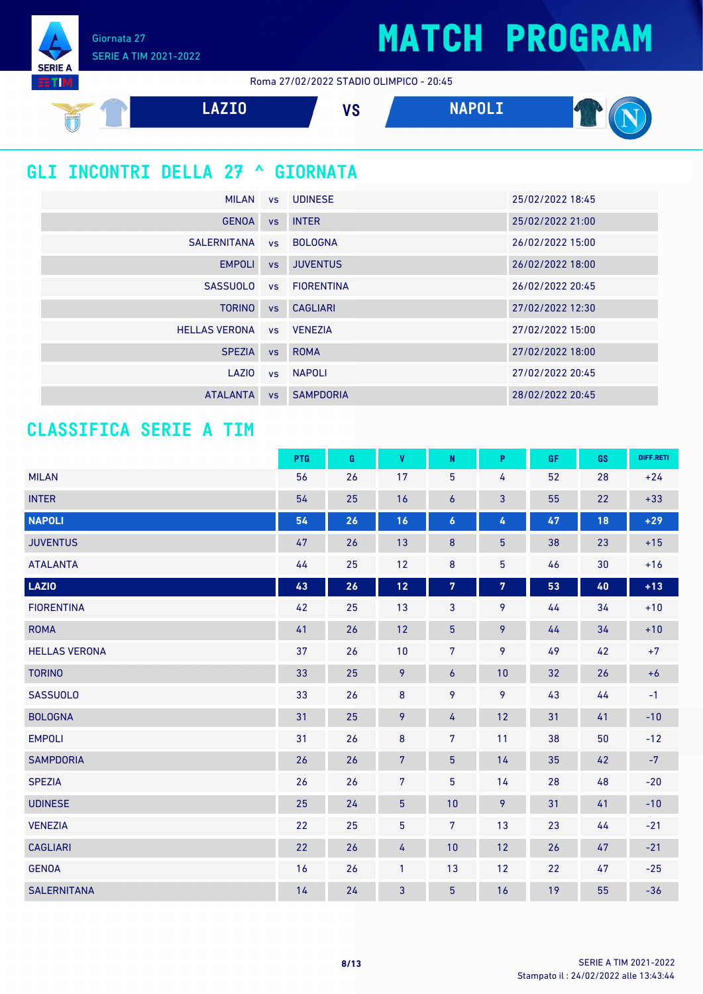Giornata 27 SERIE A TIM 2021-2022

**SERIE** TП

Roma 27/02/2022 STADIO OLIMPICO - 20:45



### **GLI INCONTRI DELLA 27 ^ GIORNATA**

|                          | MILAN vs UDINESE | 25/02/2022 18:45 |
|--------------------------|------------------|------------------|
| <b>GENOA</b>             | vs INTER         | 25/02/2022 21:00 |
| SALERNITANA              | vs BOLOGNA       | 26/02/2022 15:00 |
| <b>EMPOLI</b>            | vs JUVENTUS      | 26/02/2022 18:00 |
| <b>SASSUOLO</b>          | vs FIORENTINA    | 26/02/2022 20:45 |
| <b>TORINO</b>            | vs CAGLIARI      | 27/02/2022 12:30 |
| HELLAS VERONA vs VENEZIA |                  | 27/02/2022 15:00 |
| <b>SPEZIA</b>            | vs ROMA          | 27/02/2022 18:00 |
| LAZIO                    | vs NAPOLI        | 27/02/2022 20:45 |
| <b>ATALANTA</b>          | vs SAMPDORIA     | 28/02/2022 20:45 |

#### **CLASSIFICA SERIE A TIM**

|                      | <b>PTG</b> | G  | V              | N                       | P               | <b>GF</b> | GS | DIFF.RETI |
|----------------------|------------|----|----------------|-------------------------|-----------------|-----------|----|-----------|
| <b>MILAN</b>         | 56         | 26 | 17             | 5                       | 4               | 52        | 28 | $+24$     |
| <b>INTER</b>         | 54         | 25 | 16             | 6                       | 3               | 55        | 22 | $+33$     |
| <b>NAPOLI</b>        | 54         | 26 | 16             | $\boldsymbol{6}$        | 4               | 47        | 18 | $+29$     |
| <b>JUVENTUS</b>      | 47         | 26 | 13             | 8                       | $5\phantom{.0}$ | 38        | 23 | $+15$     |
| <b>ATALANTA</b>      | 44         | 25 | 12             | $\bf 8$                 | $\overline{5}$  | 46        | 30 | $+16$     |
| <b>LAZIO</b>         | 43         | 26 | $12$           | $\overline{\textbf{7}}$ | $\overline{7}$  | 53        | 40 | $+13$     |
| <b>FIORENTINA</b>    | 42         | 25 | 13             | 3                       | 9               | 44        | 34 | $+10$     |
| <b>ROMA</b>          | 41         | 26 | 12             | $\overline{5}$          | 9               | 44        | 34 | $+10$     |
| <b>HELLAS VERONA</b> | 37         | 26 | 10             | 7 <sup>5</sup>          | 9               | 49        | 42 | $+7$      |
| <b>TORINO</b>        | 33         | 25 | 9              | $\boldsymbol{6}$        | 10              | 32        | 26 | $+6$      |
| <b>SASSUOLO</b>      | 33         | 26 | $\bf 8$        | 9                       | 9               | 43        | 44 | $-1$      |
| <b>BOLOGNA</b>       | 31         | 25 | 9              | 4                       | 12              | 31        | 41 | $-10$     |
| <b>EMPOLI</b>        | 31         | 26 | $\bf 8$        | $\overline{7}$          | 11              | 38        | 50 | $-12$     |
| <b>SAMPDORIA</b>     | 26         | 26 | $\overline{7}$ | $\overline{5}$          | 14              | 35        | 42 | $-7$      |
| <b>SPEZIA</b>        | 26         | 26 | $\overline{7}$ | 5                       | 14              | 28        | 48 | $-20$     |
| <b>UDINESE</b>       | 25         | 24 | $\overline{5}$ | 10                      | 9               | 31        | 41 | $-10$     |
| <b>VENEZIA</b>       | 22         | 25 | 5              | 7                       | 13              | 23        | 44 | $-21$     |
| <b>CAGLIARI</b>      | 22         | 26 | 4              | 10                      | 12              | 26        | 47 | $-21$     |
| <b>GENOA</b>         | 16         | 26 | $\mathbf{1}$   | 13                      | 12              | 22        | 47 | $-25$     |
| <b>SALERNITANA</b>   | 14         | 24 | 3              | 5                       | 16              | 19        | 55 | $-36$     |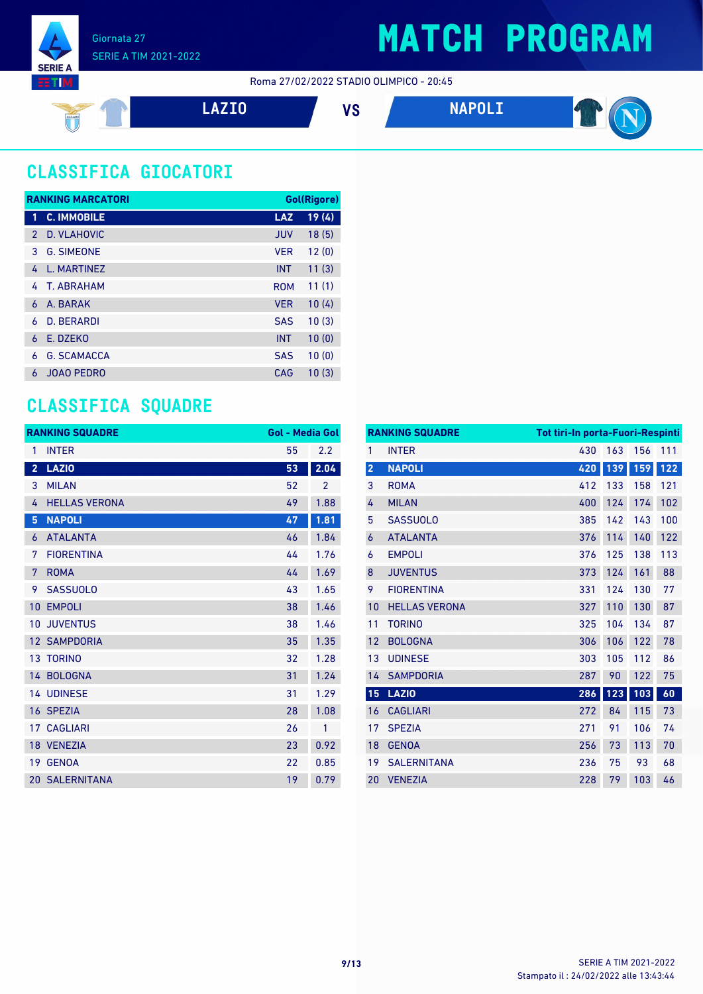

#### Roma 27/02/2022 STADIO OLIMPICO - 20:45



### **CLASSIFICA GIOCATORI**

| <b>RANKING MARCATORI</b> |                    |            | Gol(Rigore) |
|--------------------------|--------------------|------------|-------------|
| 1                        | <b>C. IMMOBILE</b> | <b>LAZ</b> | 19(4)       |
| $\mathcal{P}$            | D. VLAHOVIC        | <b>JUV</b> | 18(5)       |
| 3                        | <b>G. SIMEONE</b>  | <b>VER</b> | 12(0)       |
| 4                        | L. MARTINEZ        | <b>INT</b> | 11(3)       |
| 4                        | T. ABRAHAM         | <b>ROM</b> | 11(1)       |
| 6                        | A. BARAK           | <b>VER</b> | 10(4)       |
| 6                        | D. BERARDI         | <b>SAS</b> | 10(3)       |
| 6                        | E. DZEKO           | <b>INT</b> | 10(0)       |
| 6                        | <b>G. SCAMACCA</b> | <b>SAS</b> | 10(0)       |
| ሐ                        | <b>JOAO PEDRO</b>  | CAG        | 10(3)       |

### **CLASSIFICA SQUADRE**

| <b>RANKING SQUADRE</b> |                       | <b>Gol - Media Gol</b> |                |
|------------------------|-----------------------|------------------------|----------------|
| 1                      | <b>INTER</b>          | 55                     | 2.2            |
| $\overline{2}$         | <b>LAZIO</b>          | 53                     | 2.04           |
| 3                      | <b>MILAN</b>          | 52                     | $\overline{2}$ |
| 4                      | <b>HELLAS VERONA</b>  | 49                     | 1.88           |
| 5                      | <b>NAPOLI</b>         | 47                     | 1.81           |
| 6                      | <b>ATALANTA</b>       | 46                     | 1.84           |
| 7                      | <b>FIORENTINA</b>     | 44                     | 1.76           |
| 7                      | <b>ROMA</b>           | 44                     | 1.69           |
| 9                      | <b>SASSUOLO</b>       | 43                     | 1.65           |
| 10                     | <b>EMPOLI</b>         | 38                     | 1.46           |
| 10                     | <b>JUVENTUS</b>       | 38                     | 1.46           |
| 12                     | <b>SAMPDORIA</b>      | 35                     | 1.35           |
|                        | 13 TORINO             | 32                     | 1.28           |
|                        | 14 BOLOGNA            | 31                     | 1.24           |
|                        | 14 UDINESE            | 31                     | 1.29           |
|                        | 16 SPEZIA             | 28                     | 1.08           |
| 17                     | <b>CAGLIARI</b>       | 26                     | 1              |
|                        | 18 VENEZIA            | 23                     | 0.92           |
| 19                     | <b>GENOA</b>          | 22                     | 0.85           |
|                        | <b>20 SALERNITANA</b> | 19                     | 0.79           |

|                         | <b>RANKING SQUADRE</b> | <b>Tot tiri-In porta-Fuori-Respinti</b> |     |     |     |
|-------------------------|------------------------|-----------------------------------------|-----|-----|-----|
| 1                       | <b>INTER</b>           | 430                                     | 163 | 156 | 111 |
| $\overline{\mathbf{2}}$ | <b>NAPOLI</b>          | 420                                     | 139 | 159 | 122 |
| 3                       | <b>ROMA</b>            | 412                                     | 133 | 158 | 121 |
| 4                       | <b>MILAN</b>           | 400                                     | 124 | 174 | 102 |
| 5                       | <b>SASSUOLO</b>        | 385                                     | 142 | 143 | 100 |
| 6                       | <b>ATALANTA</b>        | 376                                     | 114 | 140 | 122 |
| 6                       | <b>EMPOLI</b>          | 376                                     | 125 | 138 | 113 |
| 8                       | <b>JUVENTUS</b>        | 373                                     | 124 | 161 | 88  |
| 9                       | <b>FIORENTINA</b>      | 331                                     | 124 | 130 | 77  |
| 10                      | <b>HELLAS VERONA</b>   | 327                                     | 110 | 130 | 87  |
| 11                      | <b>TORINO</b>          | 325                                     | 104 | 134 | 87  |
| 12                      | <b>BOLOGNA</b>         | 306                                     | 106 | 122 | 78  |
| 13                      | <b>UDINESE</b>         | 303                                     | 105 | 112 | 86  |
| 14                      | <b>SAMPDORIA</b>       | 287                                     | 90  | 122 | 75  |
| 15                      | <b>LAZIO</b>           | 286                                     | 123 | 103 | 60  |
| 16                      | <b>CAGLIARI</b>        | 272                                     | 84  | 115 | 73  |
| 17                      | <b>SPEZIA</b>          | 271                                     | 91  | 106 | 74  |
| 18                      | <b>GENOA</b>           | 256                                     | 73  | 113 | 70  |
| 19                      | <b>SALERNITANA</b>     | 236                                     | 75  | 93  | 68  |
| 20                      | <b>VENEZIA</b>         | 228                                     | 79  | 103 | 46  |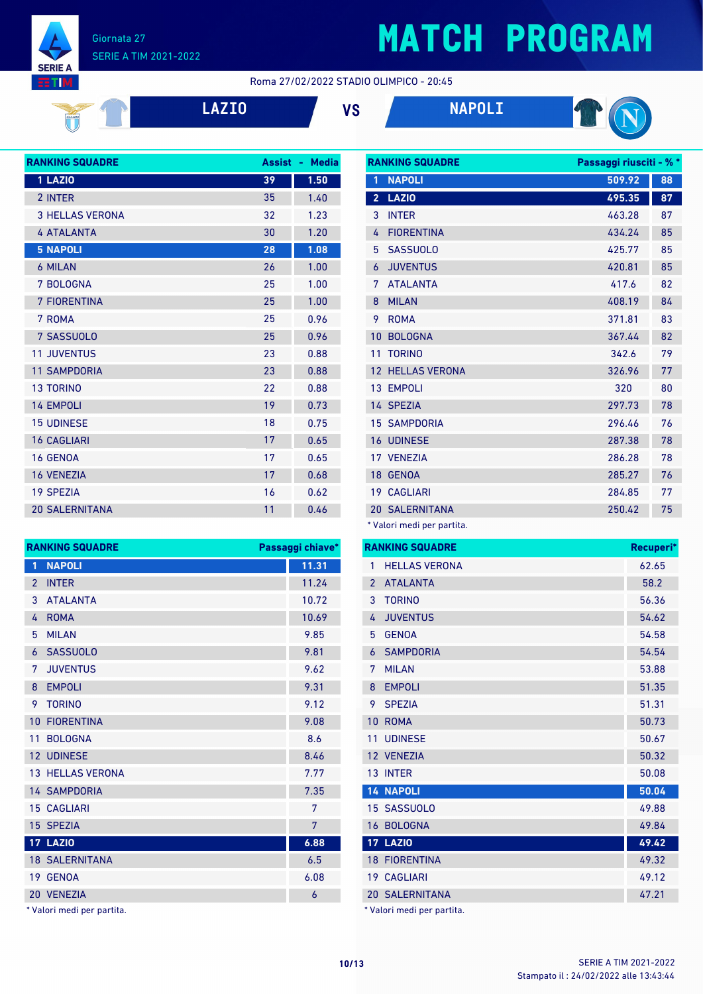Giornata 27 SERIE A TIM 2021-2022

**SERIE A ETIM** 

# **MATCH PROGRAM**

#### Roma 27/02/2022 STADIO OLIMPICO - 20:45



**LAZIO VS NAPOLI**



| <b>RANKING SQUADRE</b> | <b>Assist</b> | <b>Media</b><br>٠ |
|------------------------|---------------|-------------------|
| 1 LAZIO                | 39            | 1.50              |
| 2 INTER                | 35            | 1.40              |
| <b>3 HELLAS VERONA</b> | 32            | 1.23              |
| <b>4 ATALANTA</b>      | 30            | 1.20              |
| <b>5 NAPOLI</b>        | 28            | 1.08              |
| 6 MILAN                | 26            | 1.00              |
| 7 BOLOGNA              | 25            | 1.00              |
| <b>7 FIORENTINA</b>    | 25            | 1.00              |
| 7 ROMA                 | 25            | 0.96              |
| 7 SASSUOLO             | 25            | 0.96              |
| <b>11 JUVENTUS</b>     | 23            | 0.88              |
| <b>11 SAMPDORIA</b>    | 23            | 0.88              |
| <b>13 TORINO</b>       | 22            | 0.88              |
| <b>14 EMPOLI</b>       | 19            | 0.73              |
| <b>15 UDINESE</b>      | 18            | 0.75              |
| <b>16 CAGLIARI</b>     | 17            | 0.65              |
| <b>16 GENOA</b>        | 17            | 0.65              |
| <b>16 VENEZIA</b>      | 17            | 0.68              |
| <b>19 SPEZIA</b>       | 16            | 0.62              |
| <b>20 SALERNITANA</b>  | 11            | 0.46              |
|                        |               |                   |

| <b>RANKING SQUADRE</b> |                            | Passaggi riusciti - % * |    |
|------------------------|----------------------------|-------------------------|----|
| 1                      | <b>NAPOLI</b>              | 509.92                  | 88 |
| $\overline{2}$         | <b>LAZIO</b>               | 495.35                  | 87 |
| 3                      | <b>INTER</b>               | 463.28                  | 87 |
| 4                      | <b>FIORENTINA</b>          | 434.24                  | 85 |
| 5                      | <b>SASSUOLO</b>            | 425.77                  | 85 |
| 6                      | <b>JUVENTUS</b>            | 420.81                  | 85 |
| 7                      | <b>ATALANTA</b>            | 417.6                   | 82 |
| 8                      | <b>MILAN</b>               | 408.19                  | 84 |
| 9                      | <b>ROMA</b>                | 371.81                  | 83 |
| 10                     | <b>BOLOGNA</b>             | 367.44                  | 82 |
| 11                     | <b>TORINO</b>              | 342.6                   | 79 |
| 12 <sup>°</sup>        | <b>HELLAS VERONA</b>       | 326.96                  | 77 |
|                        | 13 EMPOLI                  | 320                     | 80 |
|                        | 14 SPEZIA                  | 297.73                  | 78 |
|                        | <b>15 SAMPDORIA</b>        | 296.46                  | 76 |
|                        | <b>16 UDINESE</b>          | 287.38                  | 78 |
|                        | 17 VENEZIA                 | 286.28                  | 78 |
|                        | 18 GENOA                   | 285.27                  | 76 |
|                        | <b>19 CAGLIARI</b>         | 284.85                  | 77 |
|                        | <b>20 SALERNITANA</b>      | 250.42                  | 75 |
|                        | * Valori medi per partita. |                         |    |

**RANKING SQUADRE Passaggi chiave\* NAPOLI 11.31** 2 INTER 11.24 ATALANTA 10.72 ROMA 10.69 MILAN 9.85 SASSUOLO 9.81 JUVENTUS 9.62 8 EMPOLI 9.31 TORINO 9.12 10 FIORENTINA 9.08 BOLOGNA 8.6 12 UDINESE 8.46 13 HELLAS VERONA 7.77 14 SAMPDORIA 7.35 CAGLIARI 7 SPEZIA 7 **LAZIO 6.88** 18 SALERNITANA 6.5 GENOA 6.08 VENEZIA 6

\* Valori medi per partita.

|                 | <b>RANKING SQUADRE</b> | Recuperi* |
|-----------------|------------------------|-----------|
| 1               | <b>HELLAS VERONA</b>   | 62.65     |
| $\overline{2}$  | <b>ATALANTA</b>        | 58.2      |
| 3               | <b>TORINO</b>          | 56.36     |
| 4               | <b>JUVENTUS</b>        | 54.62     |
| 5               | <b>GENOA</b>           | 54.58     |
| 6               | <b>SAMPDORIA</b>       | 54.54     |
| 7               | <b>MILAN</b>           | 53.88     |
| 8               | <b>EMPOLI</b>          | 51.35     |
| 9               | <b>SPEZIA</b>          | 51.31     |
| 10              | <b>ROMA</b>            | 50.73     |
| 11              | <b>UDINESE</b>         | 50.67     |
|                 | 12 VENEZIA             | 50.32     |
|                 | 13 INTER               | 50.08     |
|                 | <b>14 NAPOLI</b>       | 50.04     |
|                 | 15 SASSUOLO            | 49.88     |
| 16              | <b>BOLOGNA</b>         | 49.84     |
|                 | <b>17 LAZIO</b>        | 49.42     |
| 18              | <b>FIORENTINA</b>      | 49.32     |
| 19 <sup>°</sup> | <b>CAGLIARI</b>        | 49.12     |
|                 | <b>20 SALERNITANA</b>  | 47.21     |
|                 |                        |           |

\* Valori medi per partita.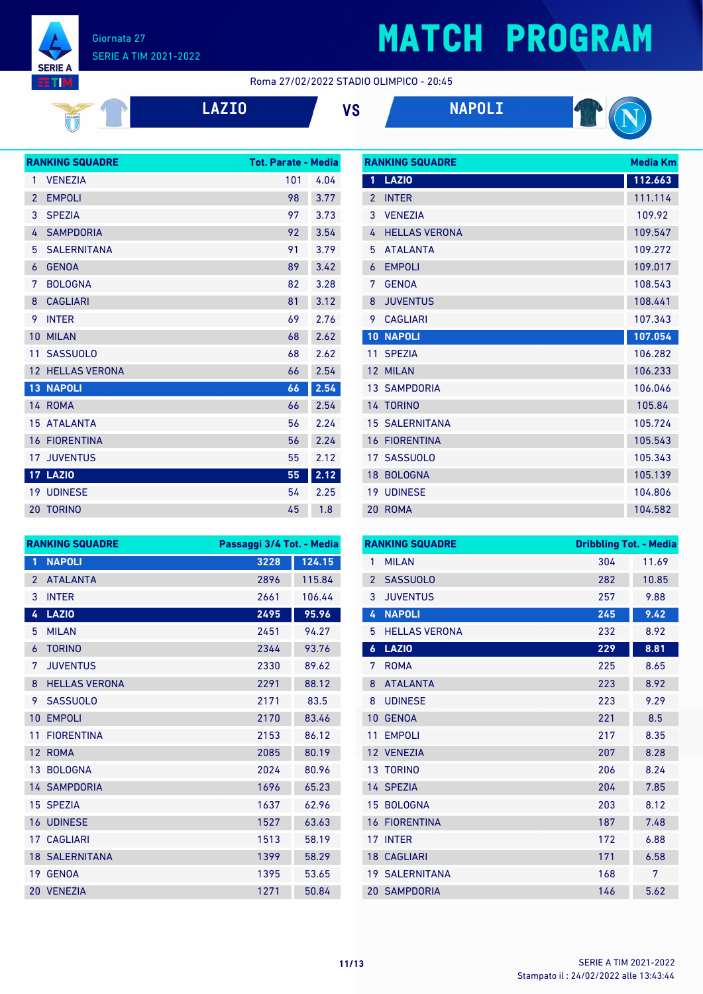

#### Roma 27/02/2022 STADIO OLIMPICO - 20:45

| ٦<br>П<br>71 |  |
|--------------|--|
|              |  |

**LAZIO VS NAPOLI**



|                | <b>RANKING SQUADRE</b> | <b>Tot. Parate - Media</b> |      |
|----------------|------------------------|----------------------------|------|
| 1              | <b>VENEZIA</b>         | 101                        | 4.04 |
| $\overline{2}$ | <b>EMPOLI</b>          | 98                         | 3.77 |
| 3              | <b>SPEZIA</b>          | 97                         | 3.73 |
| 4              | <b>SAMPDORIA</b>       | 92                         | 3.54 |
| 5              | <b>SALERNITANA</b>     | 91                         | 3.79 |
| 6              | <b>GENOA</b>           | 89                         | 3.42 |
| 7              | <b>BOLOGNA</b>         | 82                         | 3.28 |
| 8              | <b>CAGLIARI</b>        | 81                         | 3.12 |
| 9              | <b>INTER</b>           | 69                         | 2.76 |
| 10             | <b>MILAN</b>           | 68                         | 2.62 |
| 11             | <b>SASSUOLO</b>        | 68                         | 2.62 |
| 12             | <b>HELLAS VERONA</b>   | 66                         | 2.54 |
| 13             | <b>NAPOLI</b>          | 66                         | 2.54 |
|                | 14 ROMA                | 66                         | 2.54 |
| 15             | <b>ATALANTA</b>        | 56                         | 2.24 |
| 16             | <b>FIORENTINA</b>      | 56                         | 2.24 |
| 17             | <b>JUVENTUS</b>        | 55                         | 2.12 |
|                | <b>17 LAZIO</b>        | 55                         | 2.12 |
|                | <b>19 UDINESE</b>      | 54                         | 2.25 |
| 20             | <b>TORINO</b>          | 45                         | 1.8  |

|                 | <b>RANKING SQUADRE</b> |         |  |
|-----------------|------------------------|---------|--|
| 1               | <b>LAZIO</b>           | 112.663 |  |
| $\overline{2}$  | <b>INTER</b>           | 111.114 |  |
| 3               | <b>VENEZIA</b>         | 109.92  |  |
| 4               | <b>HELLAS VERONA</b>   | 109.547 |  |
| 5               | <b>ATALANTA</b>        | 109.272 |  |
| 6               | <b>EMPOLI</b>          | 109.017 |  |
| 7               | <b>GENOA</b>           | 108.543 |  |
| 8               | <b>JUVENTUS</b>        | 108.441 |  |
| 9               | <b>CAGLIARI</b>        | 107.343 |  |
| 10              | <b>NAPOLI</b>          | 107.054 |  |
| 11              | <b>SPEZIA</b>          | 106.282 |  |
| 12 <sup>°</sup> | <b>MILAN</b>           | 106.233 |  |
|                 | <b>13 SAMPDORIA</b>    | 106.046 |  |
|                 | 14 TORINO              | 105.84  |  |
|                 | <b>15 SALERNITANA</b>  | 105.724 |  |
|                 | <b>16 FIORENTINA</b>   | 105.543 |  |
|                 | 17 SASSUOLO            | 105.343 |  |
|                 | 18 BOLOGNA             | 105.139 |  |
|                 | <b>19 UDINESE</b>      | 104.806 |  |
|                 | 20 ROMA                | 104.582 |  |

| <b>RANKING SQUADRE</b> |                       | Passaggi 3/4 Tot. - Media |        |
|------------------------|-----------------------|---------------------------|--------|
| 1                      | <b>NAPOLI</b>         | 3228                      | 124.15 |
| $\overline{2}$         | <b>ATALANTA</b>       | 2896                      | 115.84 |
| 3                      | <b>INTER</b>          | 2661                      | 106.44 |
| 4                      | <b>LAZIO</b>          | 2495                      | 95.96  |
| 5                      | <b>MILAN</b>          | 2451                      | 94.27  |
| 6                      | <b>TORINO</b>         | 2344                      | 93.76  |
| 7                      | <b>JUVENTUS</b>       | 2330                      | 89.62  |
| 8                      | <b>HELLAS VERONA</b>  | 2291                      | 88.12  |
| 9                      | <b>SASSUOLO</b>       | 2171                      | 83.5   |
| 10                     | <b>EMPOLI</b>         | 2170                      | 83.46  |
| 11                     | <b>FIORENTINA</b>     | 2153                      | 86.12  |
| 12                     | <b>ROMA</b>           | 2085                      | 80.19  |
| 13 <sup>1</sup>        | <b>BOLOGNA</b>        | 2024                      | 80.96  |
|                        | <b>14 SAMPDORIA</b>   | 1696                      | 65.23  |
|                        | 15 SPEZIA             | 1637                      | 62.96  |
|                        | <b>16 UDINESE</b>     | 1527                      | 63.63  |
|                        | <b>17 CAGLIARI</b>    | 1513                      | 58.19  |
|                        | <b>18 SALERNITANA</b> | 1399                      | 58.29  |
| 19                     | <b>GENOA</b>          | 1395                      | 53.65  |
|                        | 20 VENEZIA            | 1271                      | 50.84  |

| <b>RANKING SQUADRE</b> |                       | <b>Dribbling Tot. - Media</b> |       |
|------------------------|-----------------------|-------------------------------|-------|
| 1                      | <b>MILAN</b>          | 304                           | 11.69 |
| $\overline{2}$         | <b>SASSUOLO</b>       | 282                           | 10.85 |
| 3                      | <b>JUVENTUS</b>       | 257                           | 9.88  |
| 4                      | <b>NAPOLI</b>         | 245                           | 9.42  |
| 5                      | <b>HELLAS VERONA</b>  | 232                           | 8.92  |
| $\boldsymbol{6}$       | <b>LAZIO</b>          | 229                           | 8.81  |
| 7                      | <b>ROMA</b>           | 225                           | 8.65  |
| 8                      | <b>ATALANTA</b>       | 223                           | 8.92  |
| 8                      | <b>UDINESE</b>        | 223                           | 9.29  |
| 10                     | <b>GENOA</b>          | 221                           | 8.5   |
| 11                     | <b>EMPOLI</b>         | 217                           | 8.35  |
|                        | 12 VENEZIA            | 207                           | 8.28  |
| 13                     | <b>TORINO</b>         | 206                           | 8.24  |
|                        | 14 SPEZIA             | 204                           | 7.85  |
| 15                     | <b>BOLOGNA</b>        | 203                           | 8.12  |
| 16                     | <b>FIORENTINA</b>     | 187                           | 7.48  |
| 17                     | <b>INTER</b>          | 172                           | 6.88  |
|                        | <b>18 CAGLIARI</b>    | 171                           | 6.58  |
|                        | <b>19 SALERNITANA</b> | 168                           | 7     |
|                        | <b>20 SAMPDORIA</b>   | 146                           | 5.62  |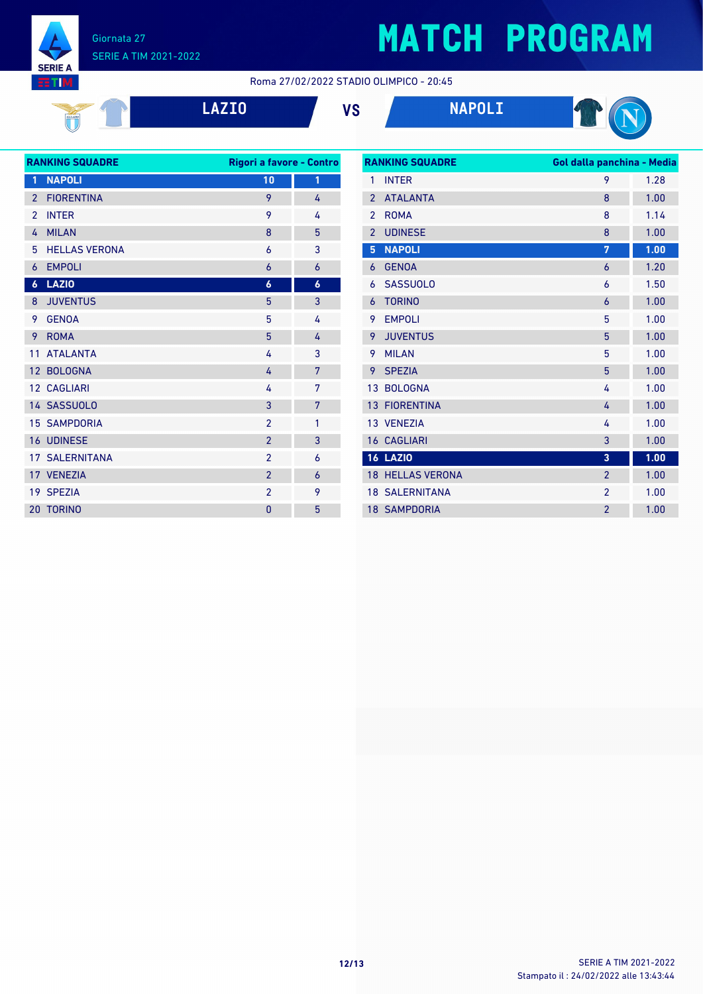#### Giornata 27 SERIE A TIM 2021-2022

 $\mathbb{I}$ 

**SERIE A HTM** 

# **MATCH PROGRAM**

Roma 27/02/2022 STADIO OLIMPICO - 20:45

|  |  | <b>LAZIO</b> |
|--|--|--------------|
|  |  |              |

**LAZIO VS NAPOLI**



| <b>RANKING SQUADRE</b> |                       | Rigori a favore - Contro |                  |
|------------------------|-----------------------|--------------------------|------------------|
| 1                      | <b>NAPOLI</b>         | 10                       | 1                |
| $\overline{2}$         | <b>FIORENTINA</b>     | 9                        | 4                |
| $\overline{2}$         | <b>INTER</b>          | 9                        | 4                |
| 4                      | <b>MILAN</b>          | 8                        | 5                |
| 5                      | <b>HELLAS VERONA</b>  | 6                        | 3                |
| 6                      | <b>EMPOLI</b>         | 6                        | 6                |
| $\boldsymbol{6}$       | <b>LAZIO</b>          | $\boldsymbol{6}$         | $\boldsymbol{6}$ |
| 8                      | <b>JUVENTUS</b>       | 5                        | 3                |
| 9                      | <b>GENOA</b>          | 5                        | 4                |
| 9                      | <b>ROMA</b>           | 5                        | 4                |
| 11                     | <b>ATALANTA</b>       | 4                        | 3                |
|                        | 12 BOLOGNA            | 4                        | 7                |
|                        | 12 CAGLIARI           | 4                        | 7                |
|                        | 14 SASSUOLO           | 3                        | 7                |
|                        | <b>15 SAMPDORIA</b>   | $\overline{2}$           | 1                |
|                        | <b>16 UDINESE</b>     | $\overline{2}$           | 3                |
|                        | <b>17 SALERNITANA</b> | $\overline{2}$           | 6                |
|                        | 17 VENEZIA            | $\overline{2}$           | 6                |
|                        | 19 SPEZIA             | $\overline{2}$           | 9                |
|                        | 20 TORINO             | 0                        | 5                |
|                        |                       |                          |                  |

| <b>RANKING SQUADRE</b> |                       | Gol dalla panchina - Media |      |
|------------------------|-----------------------|----------------------------|------|
| 1                      | <b>INTER</b>          | 9                          | 1.28 |
| $\overline{2}$         | <b>ATALANTA</b>       | 8                          | 1.00 |
| $\overline{2}$         | <b>ROMA</b>           | 8                          | 1.14 |
| $\overline{2}$         | <b>UDINESE</b>        | 8                          | 1.00 |
| 5                      | <b>NAPOLI</b>         | 7                          | 1.00 |
| 6                      | <b>GENOA</b>          | 6                          | 1.20 |
| 6                      | <b>SASSUOLO</b>       | 6                          | 1.50 |
| 6                      | <b>TORINO</b>         | 6                          | 1.00 |
| 9                      | <b>EMPOLI</b>         | 5                          | 1.00 |
| 9                      | <b>JUVENTUS</b>       | 5                          | 1.00 |
| 9                      | <b>MILAN</b>          | 5                          | 1.00 |
| 9                      | <b>SPEZIA</b>         | 5                          | 1.00 |
| 13                     | <b>BOLOGNA</b>        | 4                          | 1.00 |
| 13                     | <b>FIORENTINA</b>     | 4                          | 1.00 |
|                        | 13 VENEZIA            | 4                          | 1.00 |
|                        | <b>16 CAGLIARI</b>    | 3                          | 1.00 |
|                        | <b>16 LAZIO</b>       | 3                          | 1.00 |
| 18                     | <b>HELLAS VERONA</b>  | $\overline{2}$             | 1.00 |
|                        | <b>18 SALERNITANA</b> | $\overline{2}$             | 1.00 |
|                        | <b>18 SAMPDORIA</b>   | $\overline{2}$             | 1.00 |